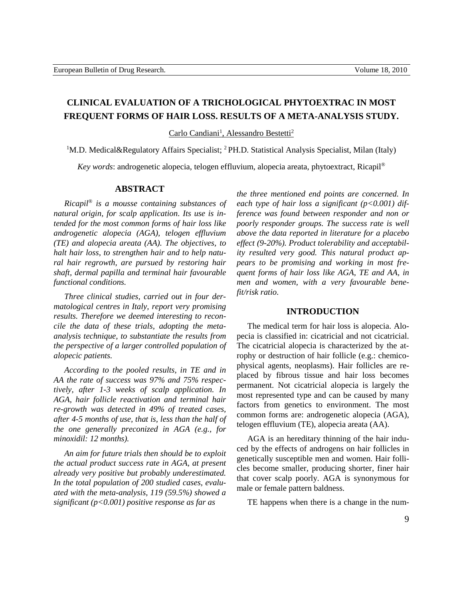# **CLINICAL EVALUATION OF A TRICHOLOGICAL PHYTOEXTRAC IN MOST FREQUENT FORMS OF HAIR LOSS. RESULTS OF A META-ANALYSIS STUDY.**

Carlo Candiani<sup>1</sup>, Alessandro Bestetti<sup>2</sup>

<sup>1</sup>M.D. Medical&Regulatory Affairs Specialist; <sup>2</sup> PH.D. Statistical Analysis Specialist, Milan (Italy)

*Key words*: androgenetic alopecia, telogen effluvium, alopecia areata, phytoextract, Ricapil®

# **ABSTRACT**

*Ricapil® is a mousse containing substances of natural origin, for scalp application. Its use is intended for the most common forms of hair loss like androgenetic alopecia (AGA), telogen effluvium (TE) and alopecia areata (AA). The objectives, to halt hair loss, to strengthen hair and to help natural hair regrowth, are pursued by restoring hair shaft, dermal papilla and terminal hair favourable functional conditions.*

*Three clinical studies, carried out in four dermatological centres in Italy, report very promising results. Therefore we deemed interesting to reconcile the data of these trials, adopting the metaanalysis technique, to substantiate the results from the perspective of a larger controlled population of alopecic patients.*

*According to the pooled results, in TE and in AA the rate of success was 97% and 75% respectively, after 1-3 weeks of scalp application. In AGA, hair follicle reactivation and terminal hair re-growth was detected in 49% of treated cases, after 4-5 months of use, that is, less than the half of the one generally preconized in AGA (e.g., for minoxidil: 12 months).*

*An aim for future trials then should be to exploit the actual product success rate in AGA, at present already very positive but probably underestimated. In the total population of 200 studied cases, evaluated with the meta-analysis, 119 (59.5%) showed a significant (p<0.001) positive response as far as* 

*the three mentioned end points are concerned. In each type of hair loss a significant (p<0.001) difference was found between responder and non or poorly responder groups. The success rate is well above the data reported in literature for a placebo effect (9-20%). Product tolerability and acceptability resulted very good. This natural product appears to be promising and working in most frequent forms of hair loss like AGA, TE and AA, in men and women, with a very favourable benefit/risk ratio.*

# **INTRODUCTION**

The medical term for hair loss is alopecia. Alopecia is classified in: cicatricial and not cicatricial. The cicatricial alopecia is characterized by the atrophy or destruction of hair follicle (e.g.: chemicophysical agents, neoplasms). Hair follicles are replaced by fibrous tissue and hair loss becomes permanent. Not cicatricial alopecia is largely the most represented type and can be caused by many factors from genetics to environment. The most common forms are: androgenetic alopecia (AGA), telogen effluvium (TE), alopecia areata (AA).

AGA is an hereditary thinning of the hair induced by the effects of androgens on hair follicles in genetically susceptible men and women. Hair follicles become smaller, producing shorter, finer hair that cover scalp poorly. AGA is synonymous for male or female pattern baldness.

TE happens when there is a change in the num-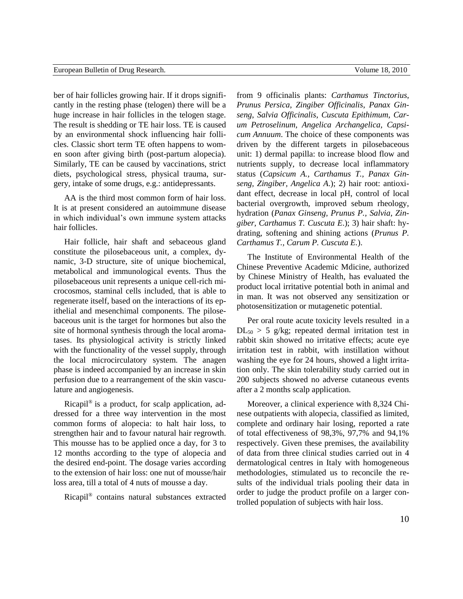ber of hair follicles growing hair. If it drops significantly in the resting phase (telogen) there will be a huge increase in hair follicles in the telogen stage. The result is shedding or TE hair loss. TE is caused by an environmental shock influencing hair follicles. Classic short term TE often happens to women soon after giving birth (post-partum alopecia). Similarly, TE can be caused by vaccinations, strict diets, psychological stress, physical trauma, surgery, intake of some drugs, e.g.: antidepressants.

AA is the third most common form of hair loss. It is at present considered an autoimmune disease in which individual's own immune system attacks hair follicles.

Hair follicle, hair shaft and sebaceous gland constitute the pilosebaceous unit, a complex, dynamic, 3-D structure, site of unique biochemical, metabolical and immunological events. Thus the pilosebaceous unit represents a unique cell-rich microcosmos, staminal cells included, that is able to regenerate itself, based on the interactions of its epithelial and mesenchimal components. The pilosebaceous unit is the target for hormones but also the site of hormonal synthesis through the local aromatases. Its physiological activity is strictly linked with the functionality of the vessel supply, through the local microcirculatory system. The anagen phase is indeed accompanied by an increase in skin perfusion due to a rearrangement of the skin vasculature and angiogenesis.

Ricapil® is a product, for scalp application, addressed for a three way intervention in the most common forms of alopecia: to halt hair loss, to strengthen hair and to favour natural hair regrowth. This mousse has to be applied once a day, for 3 to 12 months according to the type of alopecia and the desired end-point. The dosage varies according to the extension of hair loss: one nut of mousse/hair loss area, till a total of 4 nuts of mousse a day.

Ricapil® contains natural substances extracted

from 9 officinalis plants: *Carthamus Tinctorius*, *Prunus Persica*, *Zingiber Officinalis*, *Panax Ginseng*, *Salvia Officinalis*, *Cuscuta Epithimum*, *Carum Petroselinum, Angelica Archangelica, Capsicum Annuum*. The choice of these components was driven by the different targets in pilosebaceous unit: 1) dermal papilla: to increase blood flow and nutrients supply, to decrease local inflammatory status (*Capsicum A., Carthamus T., Panax Ginseng, Zingiber, Angelica A*.); 2) hair root: antioxidant effect, decrease in local pH, control of local bacterial overgrowth, improved sebum rheology, hydration (*Panax Ginseng, Prunus P., Salvia, Zingiber, Carthamus T. Cuscuta E*.); 3) hair shaft: hydrating, softening and shining actions (*Prunus P. Carthamus T., Carum P. Cuscuta E.*).

The Institute of Environmental Health of the Chinese Preventive Academic Mdicine, authorized by Chinese Ministry of Health, has evaluated the product local irritative potential both in animal and in man. It was not observed any sensitization or photosensitization or mutagenetic potential.

Per oral route acute toxicity levels resulted in a  $DL_{50} > 5$  g/kg; repeated dermal irritation test in rabbit skin showed no irritative effects; acute eye irritation test in rabbit, with instillation without washing the eye for 24 hours, showed a light irritation only. The skin tolerability study carried out in 200 subjects showed no adverse cutaneous events after a 2 months scalp application.

Moreover, a clinical experience with 8,324 Chinese outpatients with alopecia, classified as limited, complete and ordinary hair losing, reported a rate of total effectiveness of 98,3%, 97,7% and 94,1% respectively. Given these premises, the availability of data from three clinical studies carried out in 4 dermatological centres in Italy with homogeneous methodologies, stimulated us to reconcile the results of the individual trials pooling their data in order to judge the product profile on a larger controlled population of subjects with hair loss.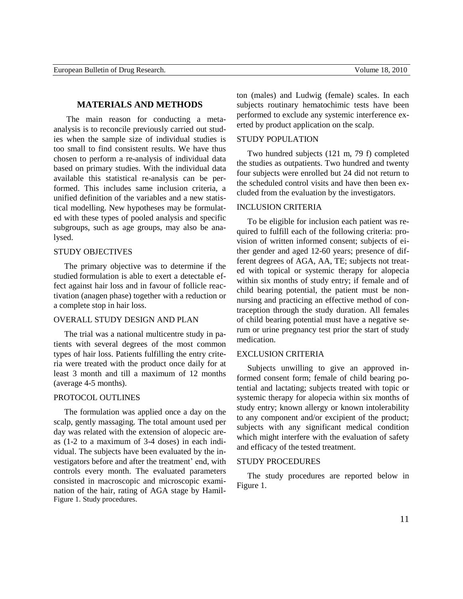# **MATERIALS AND METHODS**

The main reason for conducting a metaanalysis is to reconcile previously carried out studies when the sample size of individual studies is too small to find consistent results. We have thus chosen to perform a re-analysis of individual data based on primary studies. With the individual data available this statistical re-analysis can be performed. This includes same inclusion criteria, a unified definition of the variables and a new statistical modelling. New hypotheses may be formulated with these types of pooled analysis and specific subgroups, such as age groups, may also be analysed.

## STUDY OBJECTIVES

The primary objective was to determine if the studied formulation is able to exert a detectable effect against hair loss and in favour of follicle reactivation (anagen phase) together with a reduction or a complete stop in hair loss.

# OVERALL STUDY DESIGN AND PLAN

The trial was a national multicentre study in patients with several degrees of the most common types of hair loss. Patients fulfilling the entry criteria were treated with the product once daily for at least 3 month and till a maximum of 12 months (average 4-5 months).

## PROTOCOL OUTLINES

The formulation was applied once a day on the scalp, gently massaging. The total amount used per day was related with the extension of alopecic areas (1-2 to a maximum of 3-4 doses) in each individual. The subjects have been evaluated by the investigators before and after the treatment' end, with controls every month. The evaluated parameters consisted in macroscopic and microscopic examination of the hair, rating of AGA stage by Hamil-Figure 1. Study procedures.

ton (males) and Ludwig (female) scales. In each subjects routinary hematochimic tests have been performed to exclude any systemic interference exerted by product application on the scalp.

# STUDY POPULATION

Two hundred subjects (121 m, 79 f) completed the studies as outpatients. Two hundred and twenty four subjects were enrolled but 24 did not return to the scheduled control visits and have then been excluded from the evaluation by the investigators.

#### INCLUSION CRITERIA

To be eligible for inclusion each patient was required to fulfill each of the following criteria: provision of written informed consent; subjects of either gender and aged 12-60 years; presence of different degrees of AGA, AA, TE; subjects not treated with topical or systemic therapy for alopecia within six months of study entry; if female and of child bearing potential, the patient must be nonnursing and practicing an effective method of contraception through the study duration. All females of child bearing potential must have a negative serum or urine pregnancy test prior the start of study medication.

# EXCLUSION CRITERIA

Subjects unwilling to give an approved informed consent form; female of child bearing potential and lactating; subjects treated with topic or systemic therapy for alopecia within six months of study entry; known allergy or known intolerability to any component and/or excipient of the product; subjects with any significant medical condition which might interfere with the evaluation of safety and efficacy of the tested treatment.

## STUDY PROCEDURES

The study procedures are reported below in Figure 1.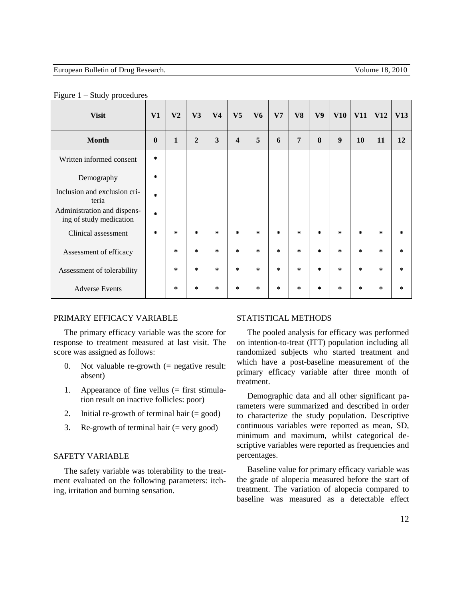| <b>Visit</b>                                           | V1           | V <sub>2</sub> | V3             | V <sub>4</sub> | V <sub>5</sub>          | V <sub>6</sub> | V <sub>7</sub> | V8     | V <sub>9</sub> | V10    | <b>V11</b> | <b>V12</b> | V13    |
|--------------------------------------------------------|--------------|----------------|----------------|----------------|-------------------------|----------------|----------------|--------|----------------|--------|------------|------------|--------|
| <b>Month</b>                                           | $\mathbf{0}$ | $\mathbf{1}$   | $\overline{2}$ | 3              | $\overline{\mathbf{4}}$ | 5              | 6              | 7      | 8              | 9      | 10         | 11         | 12     |
| Written informed consent                               | $\ast$       |                |                |                |                         |                |                |        |                |        |            |            |        |
| Demography                                             | $\ast$       |                |                |                |                         |                |                |        |                |        |            |            |        |
| Inclusion and exclusion cri-<br>teria                  | $\ast$       |                |                |                |                         |                |                |        |                |        |            |            |        |
| Administration and dispens-<br>ing of study medication | $\ast$       |                |                |                |                         |                |                |        |                |        |            |            |        |
| Clinical assessment                                    | $\ast$       | *              | *              | $\ast$         | *                       | $\ast$         | $\ast$         | $\ast$ | $\ast$         | $\ast$ | $\ast$     | $\ast$     | $\ast$ |
| Assessment of efficacy                                 |              | *              | *              | $\ast$         | *                       | $\ast$         | $\ast$         | $\ast$ | $\ast$         | $\ast$ | $\ast$     | $\ast$     | $\ast$ |
| Assessment of tolerability                             |              | *              | $\ast$         | $\ast$         | $\ast$                  | $\ast$         | $\ast$         | $\ast$ | $\ast$         | $\ast$ | $\ast$     | $\ast$     | $\ast$ |
| <b>Adverse Events</b>                                  |              | $\ast$         | *              | $\ast$         | *                       | $\ast$         | *              | $\ast$ | $\ast$         | $\ast$ | $\ast$     | $\ast$     | $\ast$ |

#### Figure 1 – Study procedures

#### PRIMARY EFFICACY VARIABLE

The primary efficacy variable was the score for response to treatment measured at last visit. The score was assigned as follows:

- 0. Not valuable re-growth  $(=$  negative result: absent)
- 1. Appearance of fine vellus (= first stimulation result on inactive follicles: poor)
- 2. Initial re-growth of terminal hair (= good)
- 3. Re-growth of terminal hair  $(=$  very good)

# SAFETY VARIABLE

The safety variable was tolerability to the treatment evaluated on the following parameters: itching, irritation and burning sensation.

#### STATISTICAL METHODS

The pooled analysis for efficacy was performed on intention-to-treat (ITT) population including all randomized subjects who started treatment and which have a post-baseline measurement of the primary efficacy variable after three month of treatment.

Demographic data and all other significant parameters were summarized and described in order to characterize the study population. Descriptive continuous variables were reported as mean, SD, minimum and maximum, whilst categorical descriptive variables were reported as frequencies and percentages.

Baseline value for primary efficacy variable was the grade of alopecia measured before the start of treatment. The variation of alopecia compared to baseline was measured as a detectable effect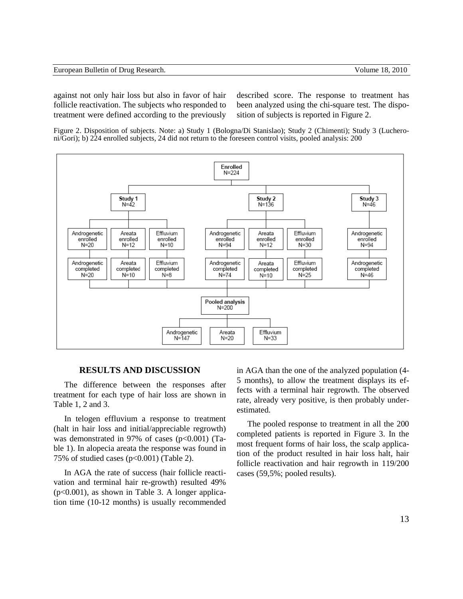| European Bulletin of Drug Research. |  |  |  |  |  |  |
|-------------------------------------|--|--|--|--|--|--|
|-------------------------------------|--|--|--|--|--|--|

against not only hair loss but also in favor of hair follicle reactivation. The subjects who responded to treatment were defined according to the previously described score. The response to treatment has been analyzed using the chi-square test. The disposition of subjects is reported in Figure 2.

Figure 2. Disposition of subjects. Note: a) Study 1 (Bologna/Di Stanislao); Study 2 (Chimenti); Study 3 (Lucheroni/Gori); b) 224 enrolled subjects, 24 did not return to the foreseen control visits, pooled analysis: 200



# **RESULTS AND DISCUSSION**

The difference between the responses after treatment for each type of hair loss are shown in Table 1, 2 and 3.

In telogen effluvium a response to treatment (halt in hair loss and initial/appreciable regrowth) was demonstrated in 97% of cases  $(p<0.001)$  (Table 1). In alopecia areata the response was found in 75% of studied cases  $(p<0.001)$  (Table 2).

In AGA the rate of success (hair follicle reactivation and terminal hair re-growth) resulted 49%  $(p<0.001)$ , as shown in Table 3. A longer application time (10-12 months) is usually recommended in AGA than the one of the analyzed population (4- 5 months), to allow the treatment displays its effects with a terminal hair regrowth. The observed rate, already very positive, is then probably underestimated.

The pooled response to treatment in all the 200 completed patients is reported in Figure 3. In the most frequent forms of hair loss, the scalp application of the product resulted in hair loss halt, hair follicle reactivation and hair regrowth in 119/200 cases (59,5%; pooled results).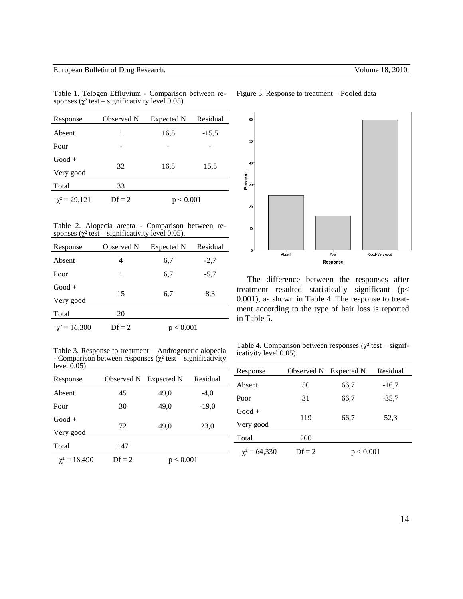| Response          | Observed N | Expected N | Residual |
|-------------------|------------|------------|----------|
| Absent            | 1          | 16,5       | $-15,5$  |
| Poor              |            |            |          |
| $Good +$          |            |            |          |
| Very good         | 32         | 16,5       | 15,5     |
| Total             | 33         |            |          |
| $\chi^2 = 29,121$ | $Df = 2$   | < 0.001    |          |

Table 1. Telogen Effluvium - Comparison between responses ( $\chi^2$  test – significativity level 0.05).

Table 2. Alopecia areata - Comparison between responses ( $\chi^2$  test – significativity level 0.05).

| Response          | Observed N | Expected N  | Residual |
|-------------------|------------|-------------|----------|
| Absent            | 4          | 6,7         | $-2,7$   |
| Poor              | 1          | 6,7         | $-5,7$   |
| $Good +$          |            |             |          |
| Very good         | 15         | 6,7         | 8,3      |
| Total             | 20         |             |          |
| $\chi^2 = 16,300$ | $Df = 2$   | ${}< 0.001$ |          |

Table 3. Response to treatment – Androgenetic alopecia - Comparison between responses ( $\chi^2$  test – significativity level  $0.05$ )

| Response          | Observed N | Expected N | Residual |
|-------------------|------------|------------|----------|
| Absent            | 45         | 49,0       | $-4,0$   |
| Poor              | 30         | 49,0       | $-19,0$  |
| $Good +$          |            |            |          |
| Very good         | 72         | 49,0       | 23,0     |
| Total             | 147        |            |          |
| $\chi^2$ = 18,490 | $Df = 2$   | p < 0.001  |          |





The difference between the responses after treatment resulted statistically significant (p< 0.001), as shown in Table 4. The response to treatment according to the type of hair loss is reported in Table 5.

Table 4. Comparison between responses ( $\chi^2$  test – significativity level 0.05)

| Response          | Observed N                  | Expected N     | Residual |
|-------------------|-----------------------------|----------------|----------|
| Absent            | 50                          | 66,7           | $-16,7$  |
| Poor              | 31                          | 66,7           | $-35.7$  |
| $Good +$          | 119                         | 66,7           | 52,3     |
| Very good         |                             |                |          |
| Total             | 200                         |                |          |
| $\chi^2$ = 64,330 | $\mathbf{D} \mathbf{f} = 2$ | ${}_{< 0.001}$ |          |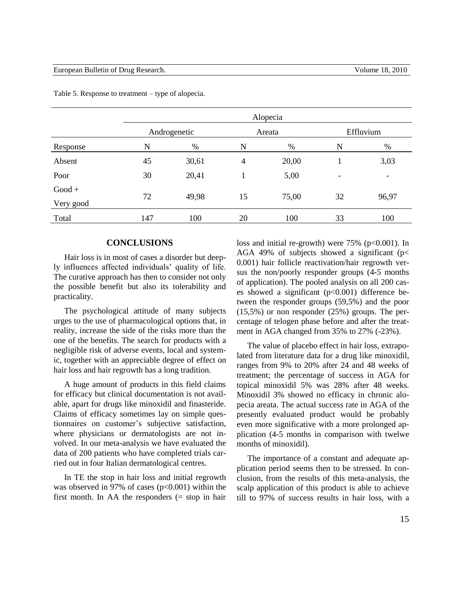| Androgenetic |       |                |       |                             | Effluvium                |  |
|--------------|-------|----------------|-------|-----------------------------|--------------------------|--|
| N            | %     | N              | $\%$  | N                           | $\%$                     |  |
| 45           | 30,61 | $\overline{4}$ | 20,00 |                             | 3,03                     |  |
| 30           | 20,41 |                | 5,00  |                             | $\overline{\phantom{a}}$ |  |
|              |       |                |       |                             |                          |  |
|              |       |                |       |                             | 96,97                    |  |
| 147          | 100   | 20             | 100   | 33                          | 100                      |  |
|              | 72    | 49,98          | 15    | Alopecia<br>Areata<br>75,00 | 32                       |  |

Table 5. Response to treatment – type of alopecia.

# **CONCLUSIONS**

Hair loss is in most of cases a disorder but deeply influences affected individuals' quality of life. The curative approach has then to consider not only the possible benefit but also its tolerability and practicality.

The psychological attitude of many subjects urges to the use of pharmacological options that, in reality, increase the side of the risks more than the one of the benefits. The search for products with a negligible risk of adverse events, local and systemic, together with an appreciable degree of effect on hair loss and hair regrowth has a long tradition.

A huge amount of products in this field claims for efficacy but clinical documentation is not available, apart for drugs like minoxidil and finasteride. Claims of efficacy sometimes lay on simple questionnaires on customer's subjective satisfaction, where physicians or dermatologists are not involved. In our meta-analysis we have evaluated the data of 200 patients who have completed trials carried out in four Italian dermatological centres.

In TE the stop in hair loss and initial regrowth was observed in 97% of cases ( $p<0.001$ ) within the first month. In AA the responders  $(= stop in hair)$  loss and initial re-growth) were  $75\%$  (p<0.001). In AGA 49% of subjects showed a significant ( $p$ < 0.001) hair follicle reactivation/hair regrowth versus the non/poorly responder groups (4-5 months of application). The pooled analysis on all 200 cases showed a significant (p<0.001) difference between the responder groups (59,5%) and the poor (15,5%) or non responder (25%) groups. The percentage of telogen phase before and after the treatment in AGA changed from 35% to 27% (-23%).

The value of placebo effect in hair loss, extrapolated from literature data for a drug like minoxidil, ranges from 9% to 20% after 24 and 48 weeks of treatment; the percentage of success in AGA for topical minoxidil 5% was 28% after 48 weeks. Minoxidil 3% showed no efficacy in chronic alopecia areata. The actual success rate in AGA of the presently evaluated product would be probably even more significative with a more prolonged application (4-5 months in comparison with twelwe months of minoxidil).

The importance of a constant and adequate application period seems then to be stressed. In conclusion, from the results of this meta-analysis, the scalp application of this product is able to achieve till to 97% of success results in hair loss, with a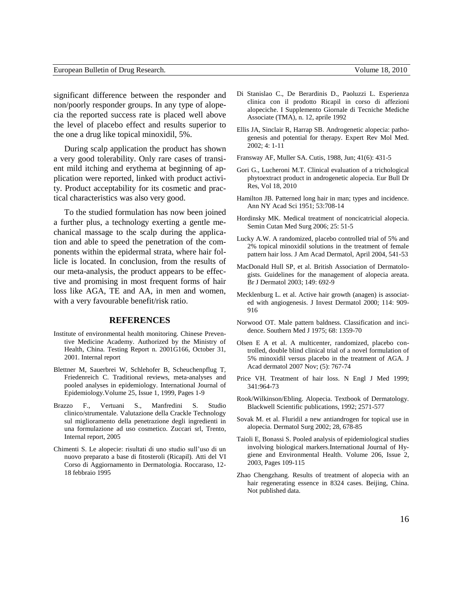significant difference between the responder and non/poorly responder groups. In any type of alopecia the reported success rate is placed well above the level of placebo effect and results superior to the one a drug like topical minoxidil, 5%.

During scalp application the product has shown a very good tolerability. Only rare cases of transient mild itching and erythema at beginning of application were reported, linked with product activity. Product acceptability for its cosmetic and practical characteristics was also very good.

To the studied formulation has now been joined a further plus, a technology exerting a gentle mechanical massage to the scalp during the application and able to speed the penetration of the components within the epidermal strata, where hair follicle is located. In conclusion, from the results of our meta-analysis, the product appears to be effective and promising in most frequent forms of hair loss like AGA, TE and AA, in men and women, with a very favourable benefit/risk ratio.

#### **REFERENCES**

- Institute of environmental health monitoring. Chinese Preventive Medicine Academy. Authorized by the Ministry of Health, China. Testing Report n. 2001G166, October 31, 2001. Internal report
- Blettner M, Sauerbrei W, Schlehofer B, Scheuchenpflug T, Friedenreich C. Traditional reviews, meta-analyses and pooled analyses in epidemiology. International Journal of Epidemiology.Volume 25, Issue 1, 1999, Pages 1-9
- Brazzo F., Vertuani S., Manfredini S. Studio clinico/strumentale. Valutazione della Crackle Technology sul miglioramento della penetrazione degli ingredienti in una formulazione ad uso cosmetico. Zuccari srl, Trento, Internal report, 2005
- Chimenti S. Le alopecie: risultati di uno studio sull'uso di un nuovo preparato a base di fitosteroli (Ricapil). Atti del VI Corso di Aggiornamento in Dermatologia. Roccaraso, 12- 18 febbraio 1995
- Di Stanislao C., De Berardinis D., Paoluzzi L. Esperienza clinica con il prodotto Ricapil in corso di affezioni alopeciche. I Supplemento Giornale di Tecniche Mediche Associate (TMA), n. 12, aprile 1992
- Ellis JA, Sinclair R, Harrap SB. Androgenetic alopecia: pathogenesis and potential for therapy. Expert Rev Mol Med. 2002; 4: 1-11
- Fransway AF, Muller SA. Cutis, 1988, Jun; 41(6): 431-5
- Gori G., Lucheroni M.T. Clinical evaluation of a trichological phytoextract product in androgenetic alopecia. Eur Bull Dr Res, Vol 18, 2010
- Hamilton JB. Patterned long hair in man; types and incidence. Ann NY Acad Sci 1951; 53:708-14
- Hordinsky MK. Medical treatment of noncicatricial alopecia. Semin Cutan Med Surg 2006; 25: 51-5
- Lucky A.W. A randomized, placebo controlled trial of 5% and 2% topical minoxidil solutions in the treatment of female pattern hair loss. J Am Acad Dermatol, April 2004, 541-53
- MacDonald Hull SP, et al. British Association of Dermatologists. Guidelines for the management of alopecia areata. Br J Dermatol 2003; 149: 692-9
- Mecklenburg L. et al. Active hair growth (anagen) is associated with angiogenesis. J Invest Dermatol 2000; 114: 909- 916
- Norwood OT. Male pattern baldness. Classification and incidence. Southern Med J 1975; 68: 1359-70
- Olsen E A et al. A multicenter, randomized, placebo controlled, double blind clinical trial of a novel formulation of 5% minoxidil versus placebo in the treatment of AGA. J Acad dermatol 2007 Nov; (5): 767-74
- Price VH. Treatment of hair loss. N Engl J Med 1999; 341:964-73
- Rook/Wilkinson/Ebling. Alopecia. Textbook of Dermatology. Blackwell Scientific publications, 1992; 2571-577
- Sovak M. et al. Fluridil a new antiandrogen for topical use in alopecia. Dermatol Surg 2002; 28, 678-85
- Taioli E, Bonassi S. Pooled analysis of epidemiological studies involving biological markers[.International Journal of Hy](http://www.sciencedirect.com/science/journal/14384639)[giene and Environmental Health.](http://www.sciencedirect.com/science/journal/14384639) [Volume 206, Issue 2,](http://www.sciencedirect.com/science?_ob=PublicationURL&_tockey=%23TOC%2320443%232003%23997939997%23528289%23FLP%23&_cdi=20443&_pubType=J&view=c&_auth=y&_acct=C000050221&_version=1&_urlVersion=0&_userid=10&md5=f9b289abf731d72c48b556091ca1db7c) 2003, Pages 109-115
- Zhao Chengzhang. Results of treatment of alopecia with an hair regenerating essence in 8324 cases. Beijing, China. Not published data.